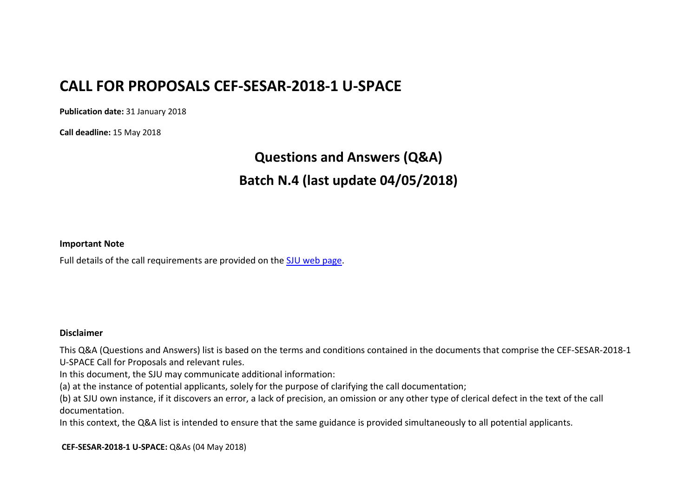## **CALL FOR PROPOSALS CEF-SESAR-2018-1 U-SPACE**

**Publication date:** 31 January 2018

**Call deadline:** 15 May 2018

## **Questions and Answers (Q&A) Batch N.4 (last update 04/05/2018)**

## **Important Note**

Full details of the call requirements are provided on the [SJU web page.](https://www.sesarju.eu/procurement)

## **Disclaimer**

This Q&A (Questions and Answers) list is based on the terms and conditions contained in the documents that comprise the CEF-SESAR-2018-1 U-SPACE Call for Proposals and relevant rules.

In this document, the SJU may communicate additional information:

(a) at the instance of potential applicants, solely for the purpose of clarifying the call documentation;

(b) at SJU own instance, if it discovers an error, a lack of precision, an omission or any other type of clerical defect in the text of the call documentation.

In this context, the Q&A list is intended to ensure that the same guidance is provided simultaneously to all potential applicants.

**CEF-SESAR-2018-1 U-SPACE:** Q&As (04 May 2018)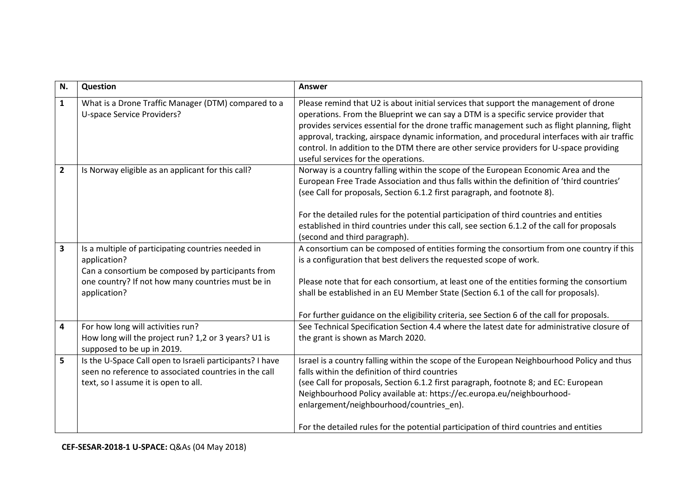| N.             | Question                                                                                                                                                                                     | Answer                                                                                                                                                                                                                                                                                                                                                                                                                                                                                                        |
|----------------|----------------------------------------------------------------------------------------------------------------------------------------------------------------------------------------------|---------------------------------------------------------------------------------------------------------------------------------------------------------------------------------------------------------------------------------------------------------------------------------------------------------------------------------------------------------------------------------------------------------------------------------------------------------------------------------------------------------------|
| $\mathbf{1}$   | What is a Drone Traffic Manager (DTM) compared to a<br>U-space Service Providers?                                                                                                            | Please remind that U2 is about initial services that support the management of drone<br>operations. From the Blueprint we can say a DTM is a specific service provider that<br>provides services essential for the drone traffic management such as flight planning, flight<br>approval, tracking, airspace dynamic information, and procedural interfaces with air traffic<br>control. In addition to the DTM there are other service providers for U-space providing<br>useful services for the operations. |
| $\overline{2}$ | Is Norway eligible as an applicant for this call?                                                                                                                                            | Norway is a country falling within the scope of the European Economic Area and the<br>European Free Trade Association and thus falls within the definition of 'third countries'<br>(see Call for proposals, Section 6.1.2 first paragraph, and footnote 8).<br>For the detailed rules for the potential participation of third countries and entities<br>established in third countries under this call, see section 6.1.2 of the call for proposals<br>(second and third paragraph).                         |
| $\mathbf{3}$   | Is a multiple of participating countries needed in<br>application?<br>Can a consortium be composed by participants from<br>one country? If not how many countries must be in<br>application? | A consortium can be composed of entities forming the consortium from one country if this<br>is a configuration that best delivers the requested scope of work.<br>Please note that for each consortium, at least one of the entities forming the consortium<br>shall be established in an EU Member State (Section 6.1 of the call for proposals).<br>For further guidance on the eligibility criteria, see Section 6 of the call for proposals.                                                              |
| 4              | For how long will activities run?<br>How long will the project run? 1,2 or 3 years? U1 is<br>supposed to be up in 2019.                                                                      | See Technical Specification Section 4.4 where the latest date for administrative closure of<br>the grant is shown as March 2020.                                                                                                                                                                                                                                                                                                                                                                              |
| 5              | Is the U-Space Call open to Israeli participants? I have<br>seen no reference to associated countries in the call<br>text, so I assume it is open to all.                                    | Israel is a country falling within the scope of the European Neighbourhood Policy and thus<br>falls within the definition of third countries<br>(see Call for proposals, Section 6.1.2 first paragraph, footnote 8; and EC: European<br>Neighbourhood Policy available at: https://ec.europa.eu/neighbourhood-<br>enlargement/neighbourhood/countries_en).<br>For the detailed rules for the potential participation of third countries and entities                                                          |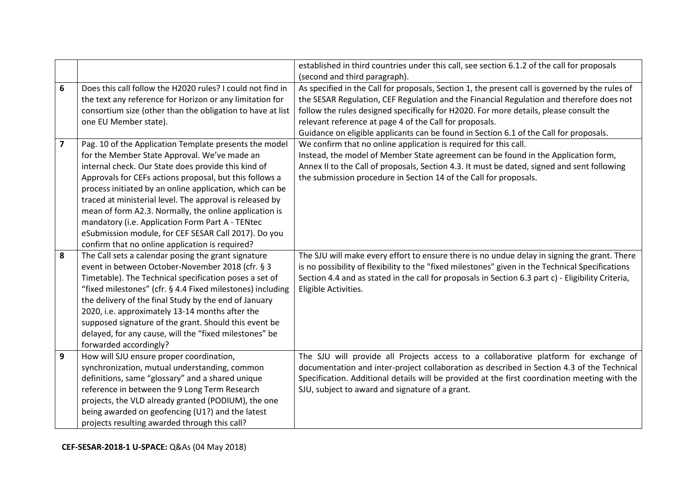|   |                                                            | established in third countries under this call, see section 6.1.2 of the call for proposals        |
|---|------------------------------------------------------------|----------------------------------------------------------------------------------------------------|
|   |                                                            | (second and third paragraph).                                                                      |
| 6 | Does this call follow the H2020 rules? I could not find in | As specified in the Call for proposals, Section 1, the present call is governed by the rules of    |
|   | the text any reference for Horizon or any limitation for   | the SESAR Regulation, CEF Regulation and the Financial Regulation and therefore does not           |
|   | consortium size (other than the obligation to have at list | follow the rules designed specifically for H2020. For more details, please consult the             |
|   | one EU Member state).                                      | relevant reference at page 4 of the Call for proposals.                                            |
|   |                                                            | Guidance on eligible applicants can be found in Section 6.1 of the Call for proposals.             |
| 7 | Pag. 10 of the Application Template presents the model     | We confirm that no online application is required for this call.                                   |
|   | for the Member State Approval. We've made an               | Instead, the model of Member State agreement can be found in the Application form,                 |
|   | internal check. Our State does provide this kind of        | Annex II to the Call of proposals, Section 4.3. It must be dated, signed and sent following        |
|   | Approvals for CEFs actions proposal, but this follows a    | the submission procedure in Section 14 of the Call for proposals.                                  |
|   | process initiated by an online application, which can be   |                                                                                                    |
|   | traced at ministerial level. The approval is released by   |                                                                                                    |
|   | mean of form A2.3. Normally, the online application is     |                                                                                                    |
|   | mandatory (i.e. Application Form Part A - TENtec           |                                                                                                    |
|   | eSubmission module, for CEF SESAR Call 2017). Do you       |                                                                                                    |
|   | confirm that no online application is required?            |                                                                                                    |
| 8 | The Call sets a calendar posing the grant signature        | The SJU will make every effort to ensure there is no undue delay in signing the grant. There       |
|   | event in between October-November 2018 (cfr. § 3           | is no possibility of flexibility to the "fixed milestones" given in the Technical Specifications   |
|   | Timetable). The Technical specification poses a set of     | Section 4.4 and as stated in the call for proposals in Section 6.3 part c) - Eligibility Criteria, |
|   | "fixed milestones" (cfr. § 4.4 Fixed milestones) including | Eligible Activities.                                                                               |
|   | the delivery of the final Study by the end of January      |                                                                                                    |
|   | 2020, i.e. approximately 13-14 months after the            |                                                                                                    |
|   | supposed signature of the grant. Should this event be      |                                                                                                    |
|   | delayed, for any cause, will the "fixed milestones" be     |                                                                                                    |
|   | forwarded accordingly?                                     |                                                                                                    |
| 9 | How will SJU ensure proper coordination,                   | The SJU will provide all Projects access to a collaborative platform for exchange of               |
|   | synchronization, mutual understanding, common              | documentation and inter-project collaboration as described in Section 4.3 of the Technical         |
|   | definitions, same "glossary" and a shared unique           | Specification. Additional details will be provided at the first coordination meeting with the      |
|   | reference in between the 9 Long Term Research              | SJU, subject to award and signature of a grant.                                                    |
|   | projects, the VLD already granted (PODIUM), the one        |                                                                                                    |
|   | being awarded on geofencing (U1?) and the latest           |                                                                                                    |
|   | projects resulting awarded through this call?              |                                                                                                    |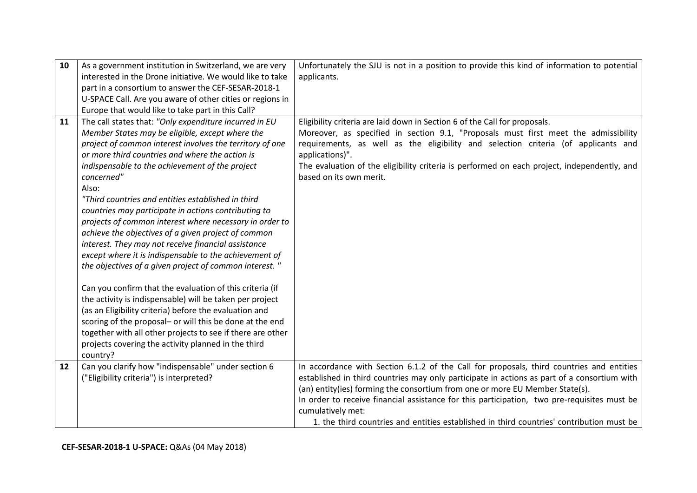| 10 | As a government institution in Switzerland, we are very    | Unfortunately the SJU is not in a position to provide this kind of information to potential |
|----|------------------------------------------------------------|---------------------------------------------------------------------------------------------|
|    | interested in the Drone initiative. We would like to take  | applicants.                                                                                 |
|    | part in a consortium to answer the CEF-SESAR-2018-1        |                                                                                             |
|    | U-SPACE Call. Are you aware of other cities or regions in  |                                                                                             |
|    | Europe that would like to take part in this Call?          |                                                                                             |
| 11 | The call states that: "Only expenditure incurred in EU     | Eligibility criteria are laid down in Section 6 of the Call for proposals.                  |
|    | Member States may be eligible, except where the            | Moreover, as specified in section 9.1, "Proposals must first meet the admissibility         |
|    | project of common interest involves the territory of one   | requirements, as well as the eligibility and selection criteria (of applicants and          |
|    | or more third countries and where the action is            | applications)".                                                                             |
|    | indispensable to the achievement of the project            | The evaluation of the eligibility criteria is performed on each project, independently, and |
|    | concerned"                                                 | based on its own merit.                                                                     |
|    | Also:                                                      |                                                                                             |
|    | "Third countries and entities established in third         |                                                                                             |
|    | countries may participate in actions contributing to       |                                                                                             |
|    | projects of common interest where necessary in order to    |                                                                                             |
|    | achieve the objectives of a given project of common        |                                                                                             |
|    | interest. They may not receive financial assistance        |                                                                                             |
|    | except where it is indispensable to the achievement of     |                                                                                             |
|    | the objectives of a given project of common interest. "    |                                                                                             |
|    | Can you confirm that the evaluation of this criteria (if   |                                                                                             |
|    | the activity is indispensable) will be taken per project   |                                                                                             |
|    | (as an Eligibility criteria) before the evaluation and     |                                                                                             |
|    | scoring of the proposal- or will this be done at the end   |                                                                                             |
|    | together with all other projects to see if there are other |                                                                                             |
|    | projects covering the activity planned in the third        |                                                                                             |
|    | country?                                                   |                                                                                             |
| 12 | Can you clarify how "indispensable" under section 6        | In accordance with Section 6.1.2 of the Call for proposals, third countries and entities    |
|    | ("Eligibility criteria") is interpreted?                   | established in third countries may only participate in actions as part of a consortium with |
|    |                                                            | (an) entity(ies) forming the consortium from one or more EU Member State(s).                |
|    |                                                            | In order to receive financial assistance for this participation, two pre-requisites must be |
|    |                                                            | cumulatively met:                                                                           |
|    |                                                            | 1. the third countries and entities established in third countries' contribution must be    |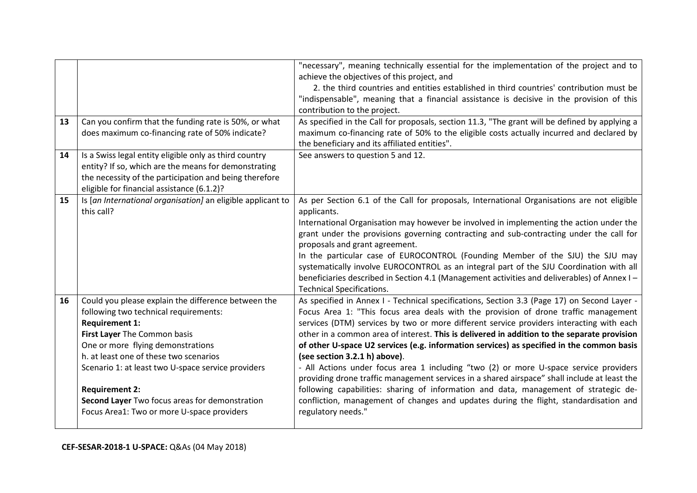| 13 | Can you confirm that the funding rate is 50%, or what<br>does maximum co-financing rate of 50% indicate?                                                                                                                                                                                                                                                                                                            | "necessary", meaning technically essential for the implementation of the project and to<br>achieve the objectives of this project, and<br>2. the third countries and entities established in third countries' contribution must be<br>"indispensable", meaning that a financial assistance is decisive in the provision of this<br>contribution to the project.<br>As specified in the Call for proposals, section 11.3, "The grant will be defined by applying a<br>maximum co-financing rate of 50% to the eligible costs actually incurred and declared by<br>the beneficiary and its affiliated entities".                                                                                                                                                                                                                                                                                              |
|----|---------------------------------------------------------------------------------------------------------------------------------------------------------------------------------------------------------------------------------------------------------------------------------------------------------------------------------------------------------------------------------------------------------------------|-------------------------------------------------------------------------------------------------------------------------------------------------------------------------------------------------------------------------------------------------------------------------------------------------------------------------------------------------------------------------------------------------------------------------------------------------------------------------------------------------------------------------------------------------------------------------------------------------------------------------------------------------------------------------------------------------------------------------------------------------------------------------------------------------------------------------------------------------------------------------------------------------------------|
| 14 | Is a Swiss legal entity eligible only as third country<br>entity? If so, which are the means for demonstrating<br>the necessity of the participation and being therefore<br>eligible for financial assistance (6.1.2)?                                                                                                                                                                                              | See answers to question 5 and 12.                                                                                                                                                                                                                                                                                                                                                                                                                                                                                                                                                                                                                                                                                                                                                                                                                                                                           |
| 15 | Is [an International organisation] an eligible applicant to<br>this call?                                                                                                                                                                                                                                                                                                                                           | As per Section 6.1 of the Call for proposals, International Organisations are not eligible<br>applicants.<br>International Organisation may however be involved in implementing the action under the<br>grant under the provisions governing contracting and sub-contracting under the call for<br>proposals and grant agreement.<br>In the particular case of EUROCONTROL (Founding Member of the SJU) the SJU may<br>systematically involve EUROCONTROL as an integral part of the SJU Coordination with all<br>beneficiaries described in Section 4.1 (Management activities and deliverables) of Annex I-<br><b>Technical Specifications.</b>                                                                                                                                                                                                                                                           |
| 16 | Could you please explain the difference between the<br>following two technical requirements:<br><b>Requirement 1:</b><br>First Layer The Common basis<br>One or more flying demonstrations<br>h. at least one of these two scenarios<br>Scenario 1: at least two U-space service providers<br><b>Requirement 2:</b><br>Second Layer Two focus areas for demonstration<br>Focus Area1: Two or more U-space providers | As specified in Annex I - Technical specifications, Section 3.3 (Page 17) on Second Layer -<br>Focus Area 1: "This focus area deals with the provision of drone traffic management<br>services (DTM) services by two or more different service providers interacting with each<br>other in a common area of interest. This is delivered in addition to the separate provision<br>of other U-space U2 services (e.g. information services) as specified in the common basis<br>(see section 3.2.1 h) above).<br>- All Actions under focus area 1 including "two (2) or more U-space service providers<br>providing drone traffic management services in a shared airspace" shall include at least the<br>following capabilities: sharing of information and data, management of strategic de-<br>confliction, management of changes and updates during the flight, standardisation and<br>regulatory needs." |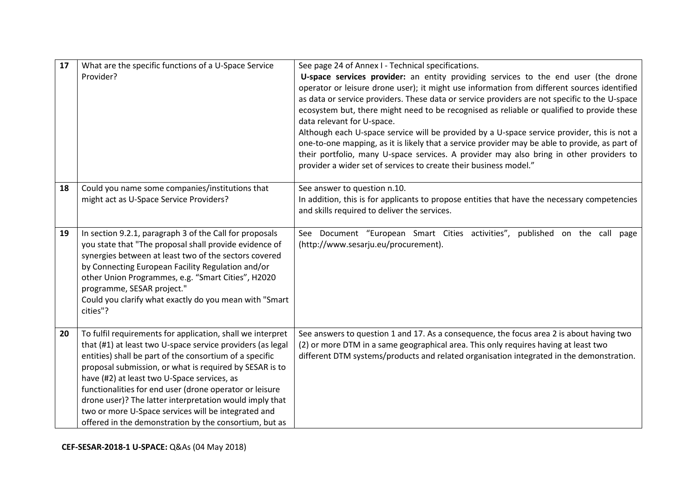| 17 | What are the specific functions of a U-Space Service       | See page 24 of Annex I - Technical specifications.                                             |
|----|------------------------------------------------------------|------------------------------------------------------------------------------------------------|
|    | Provider?                                                  | U-space services provider: an entity providing services to the end user (the drone             |
|    |                                                            | operator or leisure drone user); it might use information from different sources identified    |
|    |                                                            | as data or service providers. These data or service providers are not specific to the U-space  |
|    |                                                            | ecosystem but, there might need to be recognised as reliable or qualified to provide these     |
|    |                                                            | data relevant for U-space.                                                                     |
|    |                                                            | Although each U-space service will be provided by a U-space service provider, this is not a    |
|    |                                                            | one-to-one mapping, as it is likely that a service provider may be able to provide, as part of |
|    |                                                            | their portfolio, many U-space services. A provider may also bring in other providers to        |
|    |                                                            | provider a wider set of services to create their business model."                              |
| 18 | Could you name some companies/institutions that            | See answer to question n.10.                                                                   |
|    | might act as U-Space Service Providers?                    | In addition, this is for applicants to propose entities that have the necessary competencies   |
|    |                                                            | and skills required to deliver the services.                                                   |
|    |                                                            |                                                                                                |
| 19 | In section 9.2.1, paragraph 3 of the Call for proposals    | See Document "European Smart Cities activities", published on the call<br>page                 |
|    | you state that "The proposal shall provide evidence of     | (http://www.sesarju.eu/procurement).                                                           |
|    | synergies between at least two of the sectors covered      |                                                                                                |
|    | by Connecting European Facility Regulation and/or          |                                                                                                |
|    | other Union Programmes, e.g. "Smart Cities", H2020         |                                                                                                |
|    | programme, SESAR project."                                 |                                                                                                |
|    | Could you clarify what exactly do you mean with "Smart     |                                                                                                |
|    | cities"?                                                   |                                                                                                |
|    |                                                            |                                                                                                |
| 20 | To fulfil requirements for application, shall we interpret | See answers to question 1 and 17. As a consequence, the focus area 2 is about having two       |
|    | that (#1) at least two U-space service providers (as legal | (2) or more DTM in a same geographical area. This only requires having at least two            |
|    | entities) shall be part of the consortium of a specific    | different DTM systems/products and related organisation integrated in the demonstration.       |
|    | proposal submission, or what is required by SESAR is to    |                                                                                                |
|    | have (#2) at least two U-Space services, as                |                                                                                                |
|    | functionalities for end user (drone operator or leisure    |                                                                                                |
|    | drone user)? The latter interpretation would imply that    |                                                                                                |
|    | two or more U-Space services will be integrated and        |                                                                                                |
|    | offered in the demonstration by the consortium, but as     |                                                                                                |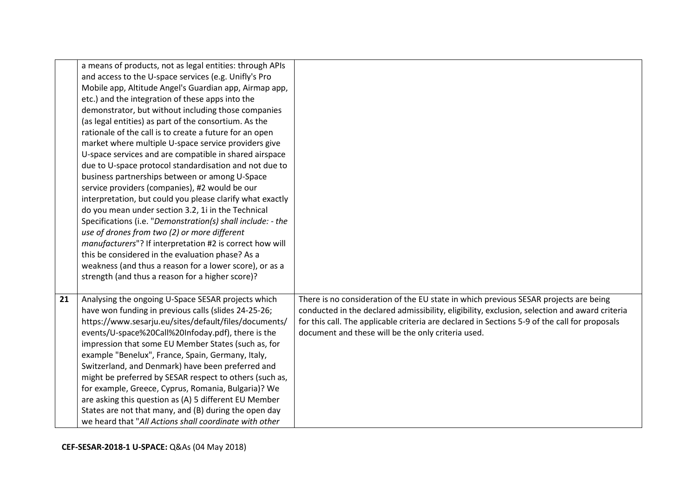|    | a means of products, not as legal entities: through APIs<br>and access to the U-space services (e.g. Unifly's Pro<br>Mobile app, Altitude Angel's Guardian app, Airmap app,<br>etc.) and the integration of these apps into the<br>demonstrator, but without including those companies<br>(as legal entities) as part of the consortium. As the |                                                                                                                                                                                       |
|----|-------------------------------------------------------------------------------------------------------------------------------------------------------------------------------------------------------------------------------------------------------------------------------------------------------------------------------------------------|---------------------------------------------------------------------------------------------------------------------------------------------------------------------------------------|
|    | rationale of the call is to create a future for an open                                                                                                                                                                                                                                                                                         |                                                                                                                                                                                       |
|    | market where multiple U-space service providers give<br>U-space services and are compatible in shared airspace                                                                                                                                                                                                                                  |                                                                                                                                                                                       |
|    | due to U-space protocol standardisation and not due to<br>business partnerships between or among U-Space                                                                                                                                                                                                                                        |                                                                                                                                                                                       |
|    | service providers (companies), #2 would be our                                                                                                                                                                                                                                                                                                  |                                                                                                                                                                                       |
|    | interpretation, but could you please clarify what exactly<br>do you mean under section 3.2, 1i in the Technical                                                                                                                                                                                                                                 |                                                                                                                                                                                       |
|    | Specifications (i.e. "Demonstration(s) shall include: - the                                                                                                                                                                                                                                                                                     |                                                                                                                                                                                       |
|    | use of drones from two (2) or more different<br>manufacturers"? If interpretation #2 is correct how will                                                                                                                                                                                                                                        |                                                                                                                                                                                       |
|    | this be considered in the evaluation phase? As a                                                                                                                                                                                                                                                                                                |                                                                                                                                                                                       |
|    | weakness (and thus a reason for a lower score), or as a<br>strength (and thus a reason for a higher score)?                                                                                                                                                                                                                                     |                                                                                                                                                                                       |
|    |                                                                                                                                                                                                                                                                                                                                                 |                                                                                                                                                                                       |
| 21 | Analysing the ongoing U-Space SESAR projects which<br>have won funding in previous calls (slides 24-25-26;                                                                                                                                                                                                                                      | There is no consideration of the EU state in which previous SESAR projects are being<br>conducted in the declared admissibility, eligibility, exclusion, selection and award criteria |
|    | https://www.sesarju.eu/sites/default/files/documents/                                                                                                                                                                                                                                                                                           | for this call. The applicable criteria are declared in Sections 5-9 of the call for proposals                                                                                         |
|    | events/U-space%20Call%20Infoday.pdf), there is the                                                                                                                                                                                                                                                                                              | document and these will be the only criteria used.                                                                                                                                    |
|    | impression that some EU Member States (such as, for                                                                                                                                                                                                                                                                                             |                                                                                                                                                                                       |
|    | example "Benelux", France, Spain, Germany, Italy,                                                                                                                                                                                                                                                                                               |                                                                                                                                                                                       |
|    | Switzerland, and Denmark) have been preferred and<br>might be preferred by SESAR respect to others (such as,                                                                                                                                                                                                                                    |                                                                                                                                                                                       |
|    | for example, Greece, Cyprus, Romania, Bulgaria)? We                                                                                                                                                                                                                                                                                             |                                                                                                                                                                                       |
|    | are asking this question as (A) 5 different EU Member                                                                                                                                                                                                                                                                                           |                                                                                                                                                                                       |
|    | States are not that many, and (B) during the open day                                                                                                                                                                                                                                                                                           |                                                                                                                                                                                       |
|    | we heard that "All Actions shall coordinate with other                                                                                                                                                                                                                                                                                          |                                                                                                                                                                                       |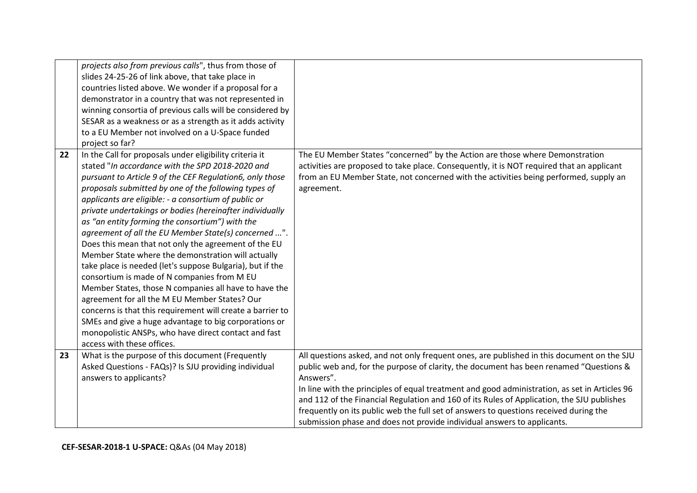|    | projects also from previous calls", thus from those of     |                                                                                               |
|----|------------------------------------------------------------|-----------------------------------------------------------------------------------------------|
|    | slides 24-25-26 of link above, that take place in          |                                                                                               |
|    | countries listed above. We wonder if a proposal for a      |                                                                                               |
|    | demonstrator in a country that was not represented in      |                                                                                               |
|    | winning consortia of previous calls will be considered by  |                                                                                               |
|    | SESAR as a weakness or as a strength as it adds activity   |                                                                                               |
|    | to a EU Member not involved on a U-Space funded            |                                                                                               |
|    | project so far?                                            |                                                                                               |
| 22 | In the Call for proposals under eligibility criteria it    | The EU Member States "concerned" by the Action are those where Demonstration                  |
|    | stated "In accordance with the SPD 2018-2020 and           | activities are proposed to take place. Consequently, it is NOT required that an applicant     |
|    | pursuant to Article 9 of the CEF Regulation6, only those   | from an EU Member State, not concerned with the activities being performed, supply an         |
|    | proposals submitted by one of the following types of       | agreement.                                                                                    |
|    | applicants are eligible: - a consortium of public or       |                                                                                               |
|    | private undertakings or bodies (hereinafter individually   |                                                                                               |
|    | as "an entity forming the consortium") with the            |                                                                                               |
|    | agreement of all the EU Member State(s) concerned ".       |                                                                                               |
|    | Does this mean that not only the agreement of the EU       |                                                                                               |
|    | Member State where the demonstration will actually         |                                                                                               |
|    | take place is needed (let's suppose Bulgaria), but if the  |                                                                                               |
|    | consortium is made of N companies from M EU                |                                                                                               |
|    | Member States, those N companies all have to have the      |                                                                                               |
|    | agreement for all the M EU Member States? Our              |                                                                                               |
|    | concerns is that this requirement will create a barrier to |                                                                                               |
|    | SMEs and give a huge advantage to big corporations or      |                                                                                               |
|    | monopolistic ANSPs, who have direct contact and fast       |                                                                                               |
|    | access with these offices.                                 |                                                                                               |
| 23 | What is the purpose of this document (Frequently           | All questions asked, and not only frequent ones, are published in this document on the SJU    |
|    | Asked Questions - FAQs)? Is SJU providing individual       | public web and, for the purpose of clarity, the document has been renamed "Questions &        |
|    | answers to applicants?                                     | Answers".                                                                                     |
|    |                                                            | In line with the principles of equal treatment and good administration, as set in Articles 96 |
|    |                                                            | and 112 of the Financial Regulation and 160 of its Rules of Application, the SJU publishes    |
|    |                                                            | frequently on its public web the full set of answers to questions received during the         |
|    |                                                            | submission phase and does not provide individual answers to applicants.                       |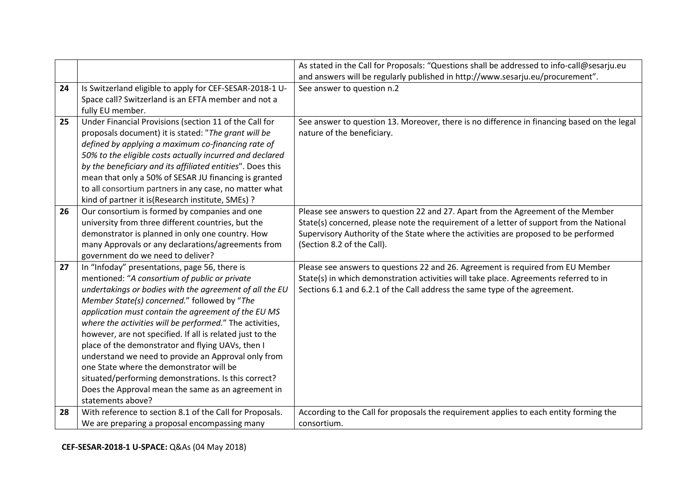|    |                                                            | As stated in the Call for Proposals: "Questions shall be addressed to info-call@sesarju.eu  |
|----|------------------------------------------------------------|---------------------------------------------------------------------------------------------|
|    |                                                            | and answers will be regularly published in http://www.sesarju.eu/procurement".              |
| 24 | Is Switzerland eligible to apply for CEF-SESAR-2018-1 U-   | See answer to question n.2                                                                  |
|    | Space call? Switzerland is an EFTA member and not a        |                                                                                             |
|    | fully EU member.                                           |                                                                                             |
| 25 | Under Financial Provisions (section 11 of the Call for     | See answer to question 13. Moreover, there is no difference in financing based on the legal |
|    | proposals document) it is stated: "The grant will be       | nature of the beneficiary.                                                                  |
|    | defined by applying a maximum co-financing rate of         |                                                                                             |
|    | 50% to the eligible costs actually incurred and declared   |                                                                                             |
|    | by the beneficiary and its affiliated entities". Does this |                                                                                             |
|    | mean that only a 50% of SESAR JU financing is granted      |                                                                                             |
|    | to all consortium partners in any case, no matter what     |                                                                                             |
|    | kind of partner it is (Research institute, SMEs) ?         |                                                                                             |
| 26 | Our consortium is formed by companies and one              | Please see answers to question 22 and 27. Apart from the Agreement of the Member            |
|    | university from three different countries, but the         | State(s) concerned, please note the requirement of a letter of support from the National    |
|    | demonstrator is planned in only one country. How           | Supervisory Authority of the State where the activities are proposed to be performed        |
|    | many Approvals or any declarations/agreements from         | (Section 8.2 of the Call).                                                                  |
|    | government do we need to deliver?                          |                                                                                             |
| 27 | In "Infoday" presentations, page 56, there is              | Please see answers to questions 22 and 26. Agreement is required from EU Member             |
|    | mentioned: "A consortium of public or private              | State(s) in which demonstration activities will take place. Agreements referred to in       |
|    | undertakings or bodies with the agreement of all the EU    | Sections 6.1 and 6.2.1 of the Call address the same type of the agreement.                  |
|    | Member State(s) concerned." followed by "The               |                                                                                             |
|    | application must contain the agreement of the EU MS        |                                                                                             |
|    | where the activities will be performed." The activities,   |                                                                                             |
|    | however, are not specified. If all is related just to the  |                                                                                             |
|    | place of the demonstrator and flying UAVs, then I          |                                                                                             |
|    | understand we need to provide an Approval only from        |                                                                                             |
|    | one State where the demonstrator will be                   |                                                                                             |
|    | situated/performing demonstrations. Is this correct?       |                                                                                             |
|    | Does the Approval mean the same as an agreement in         |                                                                                             |
|    | statements above?                                          |                                                                                             |
| 28 | With reference to section 8.1 of the Call for Proposals.   | According to the Call for proposals the requirement applies to each entity forming the      |
|    | We are preparing a proposal encompassing many              | consortium.                                                                                 |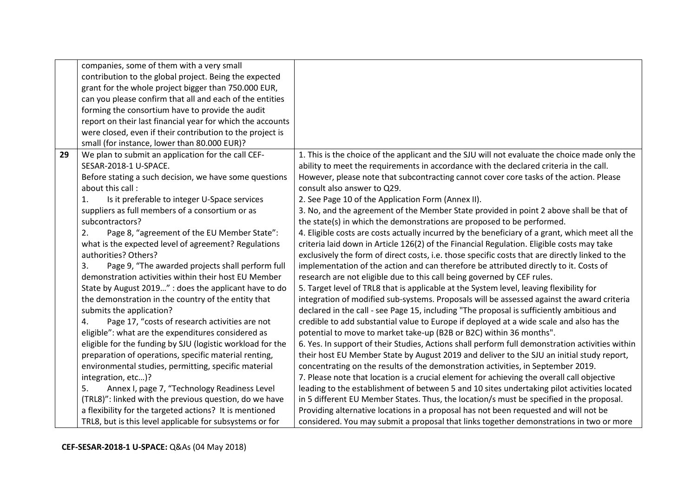|    | companies, some of them with a very small                  |                                                                                                 |
|----|------------------------------------------------------------|-------------------------------------------------------------------------------------------------|
|    | contribution to the global project. Being the expected     |                                                                                                 |
|    | grant for the whole project bigger than 750.000 EUR,       |                                                                                                 |
|    | can you please confirm that all and each of the entities   |                                                                                                 |
|    | forming the consortium have to provide the audit           |                                                                                                 |
|    | report on their last financial year for which the accounts |                                                                                                 |
|    | were closed, even if their contribution to the project is  |                                                                                                 |
|    | small (for instance, lower than 80.000 EUR)?               |                                                                                                 |
| 29 | We plan to submit an application for the call CEF-         | 1. This is the choice of the applicant and the SJU will not evaluate the choice made only the   |
|    | SESAR-2018-1 U-SPACE.                                      | ability to meet the requirements in accordance with the declared criteria in the call.          |
|    | Before stating a such decision, we have some questions     | However, please note that subcontracting cannot cover core tasks of the action. Please          |
|    | about this call:                                           | consult also answer to Q29.                                                                     |
|    | Is it preferable to integer U-Space services<br>1.         | 2. See Page 10 of the Application Form (Annex II).                                              |
|    | suppliers as full members of a consortium or as            | 3. No, and the agreement of the Member State provided in point 2 above shall be that of         |
|    | subcontractors?                                            | the state(s) in which the demonstrations are proposed to be performed.                          |
|    | Page 8, "agreement of the EU Member State":<br>2.          | 4. Eligible costs are costs actually incurred by the beneficiary of a grant, which meet all the |
|    | what is the expected level of agreement? Regulations       | criteria laid down in Article 126(2) of the Financial Regulation. Eligible costs may take       |
|    | authorities? Others?                                       | exclusively the form of direct costs, i.e. those specific costs that are directly linked to the |
|    | 3.<br>Page 9, "The awarded projects shall perform full     | implementation of the action and can therefore be attributed directly to it. Costs of           |
|    | demonstration activities within their host EU Member       | research are not eligible due to this call being governed by CEF rules.                         |
|    | State by August 2019" : does the applicant have to do      | 5. Target level of TRL8 that is applicable at the System level, leaving flexibility for         |
|    | the demonstration in the country of the entity that        | integration of modified sub-systems. Proposals will be assessed against the award criteria      |
|    | submits the application?                                   | declared in the call - see Page 15, including "The proposal is sufficiently ambitious and       |
|    | Page 17, "costs of research activities are not<br>4.       | credible to add substantial value to Europe if deployed at a wide scale and also has the        |
|    | eligible": what are the expenditures considered as         | potential to move to market take-up (B2B or B2C) within 36 months".                             |
|    | eligible for the funding by SJU (logistic workload for the | 6. Yes. In support of their Studies, Actions shall perform full demonstration activities within |
|    | preparation of operations, specific material renting,      | their host EU Member State by August 2019 and deliver to the SJU an initial study report,       |
|    | environmental studies, permitting, specific material       | concentrating on the results of the demonstration activities, in September 2019.                |
|    | integration, etc)?                                         | 7. Please note that location is a crucial element for achieving the overall call objective      |
|    | 5.<br>Annex I, page 7, "Technology Readiness Level         | leading to the establishment of between 5 and 10 sites undertaking pilot activities located     |
|    | (TRL8)": linked with the previous question, do we have     | in 5 different EU Member States. Thus, the location/s must be specified in the proposal.        |
|    | a flexibility for the targeted actions? It is mentioned    | Providing alternative locations in a proposal has not been requested and will not be            |
|    | TRL8, but is this level applicable for subsystems or for   | considered. You may submit a proposal that links together demonstrations in two or more         |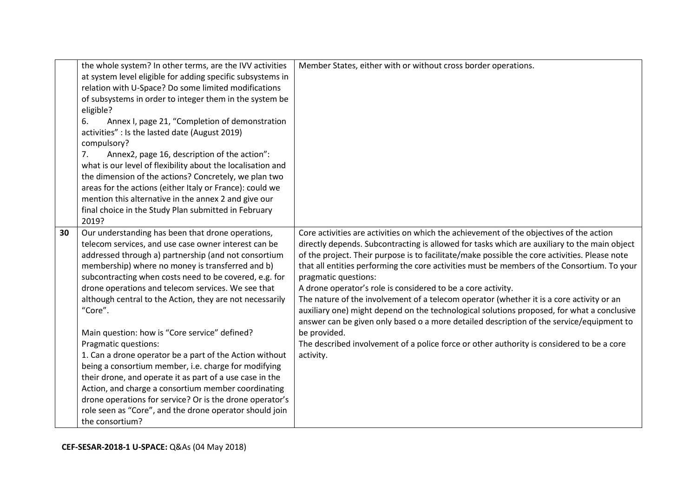|    | the whole system? In other terms, are the IVV activities<br>at system level eligible for adding specific subsystems in<br>relation with U-Space? Do some limited modifications<br>of subsystems in order to integer them in the system be                                                                                                                                                                                                                                                                                                                                                                                                                                                                                                                                                                                                                             | Member States, either with or without cross border operations.                                                                                                                                                                                                                                                                                                                                                                                                                                                                                                                                                                                                                                                                                                                                                                                                                                  |
|----|-----------------------------------------------------------------------------------------------------------------------------------------------------------------------------------------------------------------------------------------------------------------------------------------------------------------------------------------------------------------------------------------------------------------------------------------------------------------------------------------------------------------------------------------------------------------------------------------------------------------------------------------------------------------------------------------------------------------------------------------------------------------------------------------------------------------------------------------------------------------------|-------------------------------------------------------------------------------------------------------------------------------------------------------------------------------------------------------------------------------------------------------------------------------------------------------------------------------------------------------------------------------------------------------------------------------------------------------------------------------------------------------------------------------------------------------------------------------------------------------------------------------------------------------------------------------------------------------------------------------------------------------------------------------------------------------------------------------------------------------------------------------------------------|
|    | eligible?<br>Annex I, page 21, "Completion of demonstration<br>6.<br>activities" : Is the lasted date (August 2019)<br>compulsory?<br>Annex2, page 16, description of the action":<br>7.<br>what is our level of flexibility about the localisation and<br>the dimension of the actions? Concretely, we plan two<br>areas for the actions (either Italy or France): could we<br>mention this alternative in the annex 2 and give our<br>final choice in the Study Plan submitted in February<br>2019?                                                                                                                                                                                                                                                                                                                                                                 |                                                                                                                                                                                                                                                                                                                                                                                                                                                                                                                                                                                                                                                                                                                                                                                                                                                                                                 |
| 30 | Our understanding has been that drone operations,<br>telecom services, and use case owner interest can be<br>addressed through a) partnership (and not consortium<br>membership) where no money is transferred and b)<br>subcontracting when costs need to be covered, e.g. for<br>drone operations and telecom services. We see that<br>although central to the Action, they are not necessarily<br>"Core".<br>Main question: how is "Core service" defined?<br>Pragmatic questions:<br>1. Can a drone operator be a part of the Action without<br>being a consortium member, i.e. charge for modifying<br>their drone, and operate it as part of a use case in the<br>Action, and charge a consortium member coordinating<br>drone operations for service? Or is the drone operator's<br>role seen as "Core", and the drone operator should join<br>the consortium? | Core activities are activities on which the achievement of the objectives of the action<br>directly depends. Subcontracting is allowed for tasks which are auxiliary to the main object<br>of the project. Their purpose is to facilitate/make possible the core activities. Please note<br>that all entities performing the core activities must be members of the Consortium. To your<br>pragmatic questions:<br>A drone operator's role is considered to be a core activity.<br>The nature of the involvement of a telecom operator (whether it is a core activity or an<br>auxiliary one) might depend on the technological solutions proposed, for what a conclusive<br>answer can be given only based o a more detailed description of the service/equipment to<br>be provided.<br>The described involvement of a police force or other authority is considered to be a core<br>activity. |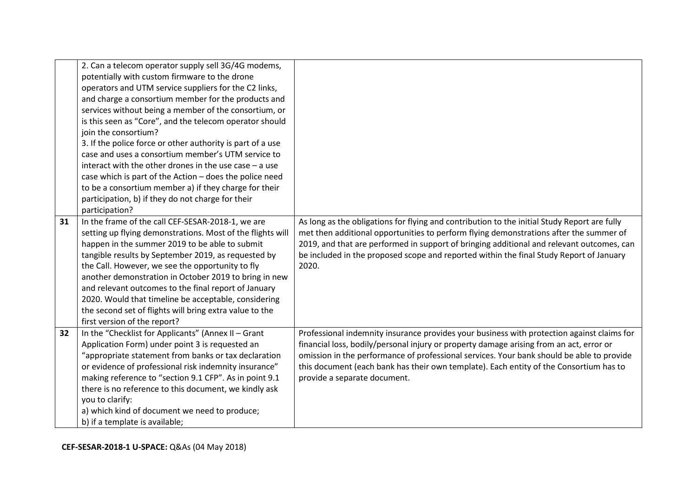|    | 2. Can a telecom operator supply sell 3G/4G modems,        |                                                                                              |
|----|------------------------------------------------------------|----------------------------------------------------------------------------------------------|
|    | potentially with custom firmware to the drone              |                                                                                              |
|    | operators and UTM service suppliers for the C2 links,      |                                                                                              |
|    | and charge a consortium member for the products and        |                                                                                              |
|    | services without being a member of the consortium, or      |                                                                                              |
|    | is this seen as "Core", and the telecom operator should    |                                                                                              |
|    | join the consortium?                                       |                                                                                              |
|    | 3. If the police force or other authority is part of a use |                                                                                              |
|    | case and uses a consortium member's UTM service to         |                                                                                              |
|    | interact with the other drones in the use case $-$ a use   |                                                                                              |
|    | case which is part of the Action - does the police need    |                                                                                              |
|    | to be a consortium member a) if they charge for their      |                                                                                              |
|    | participation, b) if they do not charge for their          |                                                                                              |
|    | participation?                                             |                                                                                              |
| 31 | In the frame of the call CEF-SESAR-2018-1, we are          | As long as the obligations for flying and contribution to the initial Study Report are fully |
|    | setting up flying demonstrations. Most of the flights will | met then additional opportunities to perform flying demonstrations after the summer of       |
|    | happen in the summer 2019 to be able to submit             | 2019, and that are performed in support of bringing additional and relevant outcomes, can    |
|    | tangible results by September 2019, as requested by        | be included in the proposed scope and reported within the final Study Report of January      |
|    | the Call. However, we see the opportunity to fly           | 2020.                                                                                        |
|    | another demonstration in October 2019 to bring in new      |                                                                                              |
|    | and relevant outcomes to the final report of January       |                                                                                              |
|    | 2020. Would that timeline be acceptable, considering       |                                                                                              |
|    | the second set of flights will bring extra value to the    |                                                                                              |
|    | first version of the report?                               |                                                                                              |
| 32 | In the "Checklist for Applicants" (Annex II - Grant        | Professional indemnity insurance provides your business with protection against claims for   |
|    | Application Form) under point 3 is requested an            | financial loss, bodily/personal injury or property damage arising from an act, error or      |
|    | "appropriate statement from banks or tax declaration       | omission in the performance of professional services. Your bank should be able to provide    |
|    | or evidence of professional risk indemnity insurance"      | this document (each bank has their own template). Each entity of the Consortium has to       |
|    | making reference to "section 9.1 CFP". As in point 9.1     | provide a separate document.                                                                 |
|    | there is no reference to this document, we kindly ask      |                                                                                              |
|    | you to clarify:                                            |                                                                                              |
|    | a) which kind of document we need to produce;              |                                                                                              |
|    | b) if a template is available;                             |                                                                                              |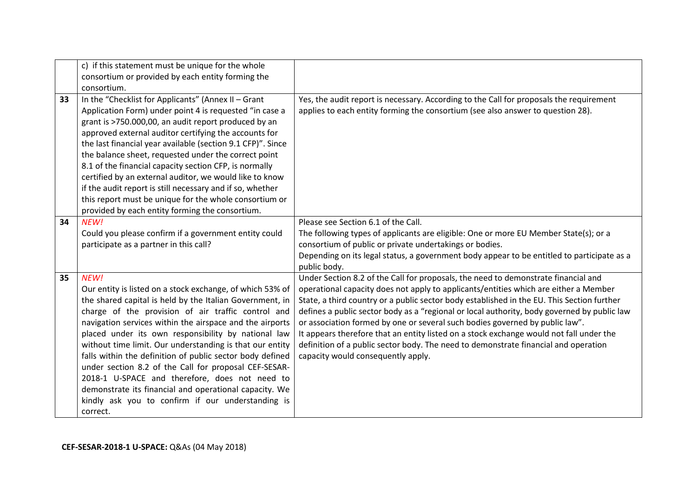|    | c) if this statement must be unique for the whole           |                                                                                                            |
|----|-------------------------------------------------------------|------------------------------------------------------------------------------------------------------------|
|    | consortium or provided by each entity forming the           |                                                                                                            |
|    | consortium.                                                 |                                                                                                            |
| 33 | In the "Checklist for Applicants" (Annex II - Grant         | Yes, the audit report is necessary. According to the Call for proposals the requirement                    |
|    | Application Form) under point 4 is requested "in case a     | applies to each entity forming the consortium (see also answer to question 28).                            |
|    | grant is >750.000,00, an audit report produced by an        |                                                                                                            |
|    | approved external auditor certifying the accounts for       |                                                                                                            |
|    | the last financial year available (section 9.1 CFP)". Since |                                                                                                            |
|    | the balance sheet, requested under the correct point        |                                                                                                            |
|    | 8.1 of the financial capacity section CFP, is normally      |                                                                                                            |
|    | certified by an external auditor, we would like to know     |                                                                                                            |
|    | if the audit report is still necessary and if so, whether   |                                                                                                            |
|    | this report must be unique for the whole consortium or      |                                                                                                            |
|    | provided by each entity forming the consortium.             | Please see Section 6.1 of the Call.                                                                        |
| 34 | NEW!                                                        |                                                                                                            |
|    | Could you please confirm if a government entity could       | The following types of applicants are eligible: One or more EU Member State(s); or a                       |
|    | participate as a partner in this call?                      | consortium of public or private undertakings or bodies.                                                    |
|    |                                                             | Depending on its legal status, a government body appear to be entitled to participate as a<br>public body. |
| 35 | NEW!                                                        | Under Section 8.2 of the Call for proposals, the need to demonstrate financial and                         |
|    | Our entity is listed on a stock exchange, of which 53% of   | operational capacity does not apply to applicants/entities which are either a Member                       |
|    | the shared capital is held by the Italian Government, in    | State, a third country or a public sector body established in the EU. This Section further                 |
|    | charge of the provision of air traffic control and          | defines a public sector body as a "regional or local authority, body governed by public law                |
|    | navigation services within the airspace and the airports    | or association formed by one or several such bodies governed by public law".                               |
|    | placed under its own responsibility by national law         | It appears therefore that an entity listed on a stock exchange would not fall under the                    |
|    | without time limit. Our understanding is that our entity    | definition of a public sector body. The need to demonstrate financial and operation                        |
|    | falls within the definition of public sector body defined   | capacity would consequently apply.                                                                         |
|    | under section 8.2 of the Call for proposal CEF-SESAR-       |                                                                                                            |
|    | 2018-1 U-SPACE and therefore, does not need to              |                                                                                                            |
|    | demonstrate its financial and operational capacity. We      |                                                                                                            |
|    | kindly ask you to confirm if our understanding is           |                                                                                                            |
|    | correct.                                                    |                                                                                                            |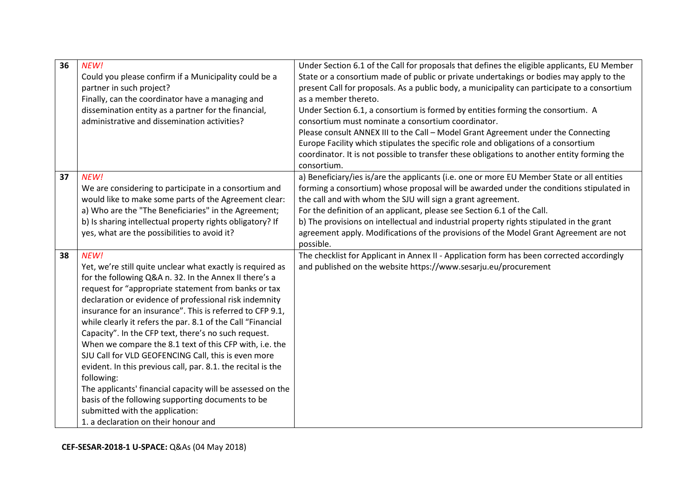| 36 | NEW!                                                         | Under Section 6.1 of the Call for proposals that defines the eligible applicants, EU Member  |
|----|--------------------------------------------------------------|----------------------------------------------------------------------------------------------|
|    | Could you please confirm if a Municipality could be a        | State or a consortium made of public or private undertakings or bodies may apply to the      |
|    | partner in such project?                                     | present Call for proposals. As a public body, a municipality can participate to a consortium |
|    | Finally, can the coordinator have a managing and             | as a member thereto.                                                                         |
|    | dissemination entity as a partner for the financial,         | Under Section 6.1, a consortium is formed by entities forming the consortium. A              |
|    | administrative and dissemination activities?                 | consortium must nominate a consortium coordinator.                                           |
|    |                                                              | Please consult ANNEX III to the Call - Model Grant Agreement under the Connecting            |
|    |                                                              | Europe Facility which stipulates the specific role and obligations of a consortium           |
|    |                                                              | coordinator. It is not possible to transfer these obligations to another entity forming the  |
|    |                                                              | consortium.                                                                                  |
| 37 | NEW!                                                         | a) Beneficiary/ies is/are the applicants (i.e. one or more EU Member State or all entities   |
|    | We are considering to participate in a consortium and        | forming a consortium) whose proposal will be awarded under the conditions stipulated in      |
|    | would like to make some parts of the Agreement clear:        | the call and with whom the SJU will sign a grant agreement.                                  |
|    | a) Who are the "The Beneficiaries" in the Agreement;         | For the definition of an applicant, please see Section 6.1 of the Call.                      |
|    | b) Is sharing intellectual property rights obligatory? If    | b) The provisions on intellectual and industrial property rights stipulated in the grant     |
|    | yes, what are the possibilities to avoid it?                 | agreement apply. Modifications of the provisions of the Model Grant Agreement are not        |
|    |                                                              | possible.                                                                                    |
| 38 | NEW!                                                         | The checklist for Applicant in Annex II - Application form has been corrected accordingly    |
|    | Yet, we're still quite unclear what exactly is required as   | and published on the website https://www.sesarju.eu/procurement                              |
|    | for the following Q&A n. 32. In the Annex II there's a       |                                                                                              |
|    | request for "appropriate statement from banks or tax         |                                                                                              |
|    | declaration or evidence of professional risk indemnity       |                                                                                              |
|    | insurance for an insurance". This is referred to CFP 9.1,    |                                                                                              |
|    | while clearly it refers the par. 8.1 of the Call "Financial  |                                                                                              |
|    | Capacity". In the CFP text, there's no such request.         |                                                                                              |
|    | When we compare the 8.1 text of this CFP with, i.e. the      |                                                                                              |
|    | SJU Call for VLD GEOFENCING Call, this is even more          |                                                                                              |
|    | evident. In this previous call, par. 8.1. the recital is the |                                                                                              |
|    | following:                                                   |                                                                                              |
|    | The applicants' financial capacity will be assessed on the   |                                                                                              |
|    | basis of the following supporting documents to be            |                                                                                              |
|    | submitted with the application:                              |                                                                                              |
|    | 1. a declaration on their honour and                         |                                                                                              |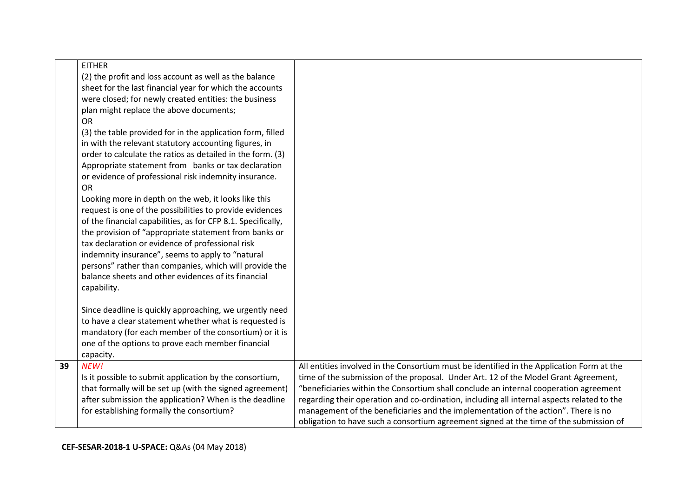|    | <b>EITHER</b><br>(2) the profit and loss account as well as the balance<br>sheet for the last financial year for which the accounts<br>were closed; for newly created entities: the business<br>plan might replace the above documents;<br>OR<br>(3) the table provided for in the application form, filled<br>in with the relevant statutory accounting figures, in<br>order to calculate the ratios as detailed in the form. (3)<br>Appropriate statement from banks or tax declaration<br>or evidence of professional risk indemnity insurance.<br>OR<br>Looking more in depth on the web, it looks like this<br>request is one of the possibilities to provide evidences<br>of the financial capabilities, as for CFP 8.1. Specifically,<br>the provision of "appropriate statement from banks or<br>tax declaration or evidence of professional risk<br>indemnity insurance", seems to apply to "natural<br>persons" rather than companies, which will provide the<br>balance sheets and other evidences of its financial<br>capability. |                                                                                                                                                                                                                                                                                                                                                                                                                                                                                                                                                         |
|----|-----------------------------------------------------------------------------------------------------------------------------------------------------------------------------------------------------------------------------------------------------------------------------------------------------------------------------------------------------------------------------------------------------------------------------------------------------------------------------------------------------------------------------------------------------------------------------------------------------------------------------------------------------------------------------------------------------------------------------------------------------------------------------------------------------------------------------------------------------------------------------------------------------------------------------------------------------------------------------------------------------------------------------------------------|---------------------------------------------------------------------------------------------------------------------------------------------------------------------------------------------------------------------------------------------------------------------------------------------------------------------------------------------------------------------------------------------------------------------------------------------------------------------------------------------------------------------------------------------------------|
|    | Since deadline is quickly approaching, we urgently need<br>to have a clear statement whether what is requested is<br>mandatory (for each member of the consortium) or it is<br>one of the options to prove each member financial<br>capacity.                                                                                                                                                                                                                                                                                                                                                                                                                                                                                                                                                                                                                                                                                                                                                                                                 |                                                                                                                                                                                                                                                                                                                                                                                                                                                                                                                                                         |
| 39 | NEW!<br>Is it possible to submit application by the consortium,<br>that formally will be set up (with the signed agreement)<br>after submission the application? When is the deadline<br>for establishing formally the consortium?                                                                                                                                                                                                                                                                                                                                                                                                                                                                                                                                                                                                                                                                                                                                                                                                            | All entities involved in the Consortium must be identified in the Application Form at the<br>time of the submission of the proposal. Under Art. 12 of the Model Grant Agreement,<br>"beneficiaries within the Consortium shall conclude an internal cooperation agreement<br>regarding their operation and co-ordination, including all internal aspects related to the<br>management of the beneficiaries and the implementation of the action". There is no<br>obligation to have such a consortium agreement signed at the time of the submission of |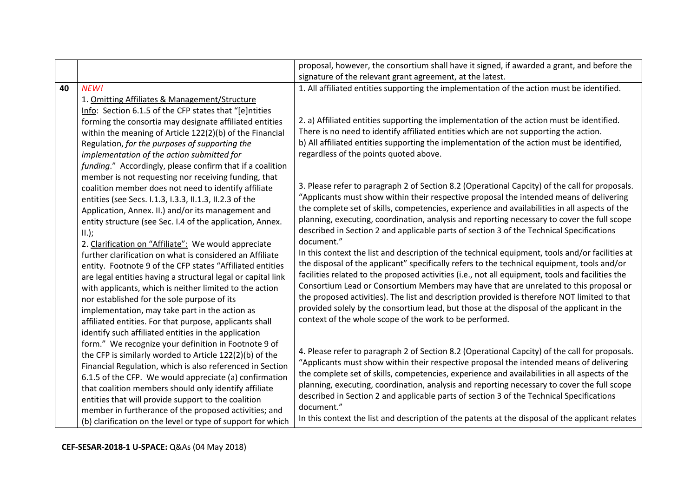|    |                                                              | proposal, however, the consortium shall have it signed, if awarded a grant, and before the       |
|----|--------------------------------------------------------------|--------------------------------------------------------------------------------------------------|
|    |                                                              | signature of the relevant grant agreement, at the latest.                                        |
| 40 | NEW!                                                         | 1. All affiliated entities supporting the implementation of the action must be identified.       |
|    | 1. Omitting Affiliates & Management/Structure                |                                                                                                  |
|    | Info: Section 6.1.5 of the CFP states that "[e]ntities       |                                                                                                  |
|    | forming the consortia may designate affiliated entities      | 2. a) Affiliated entities supporting the implementation of the action must be identified.        |
|    | within the meaning of Article 122(2)(b) of the Financial     | There is no need to identify affiliated entities which are not supporting the action.            |
|    | Regulation, for the purposes of supporting the               | b) All affiliated entities supporting the implementation of the action must be identified,       |
|    | implementation of the action submitted for                   | regardless of the points quoted above.                                                           |
|    | funding." Accordingly, please confirm that if a coalition    |                                                                                                  |
|    | member is not requesting nor receiving funding, that         |                                                                                                  |
|    | coalition member does not need to identify affiliate         | 3. Please refer to paragraph 2 of Section 8.2 (Operational Capcity) of the call for proposals.   |
|    | entities (see Secs. 1.1.3, 1.3.3, 11.1.3, 11.2.3 of the      | "Applicants must show within their respective proposal the intended means of delivering          |
|    | Application, Annex. II.) and/or its management and           | the complete set of skills, competencies, experience and availabilities in all aspects of the    |
|    | entity structure (see Sec. I.4 of the application, Annex.    | planning, executing, coordination, analysis and reporting necessary to cover the full scope      |
|    | $II.$ );                                                     | described in Section 2 and applicable parts of section 3 of the Technical Specifications         |
|    | 2. Clarification on "Affiliate": We would appreciate         | document."                                                                                       |
|    | further clarification on what is considered an Affiliate     | In this context the list and description of the technical equipment, tools and/or facilities at  |
|    | entity. Footnote 9 of the CFP states "Affiliated entities    | the disposal of the applicant" specifically refers to the technical equipment, tools and/or      |
|    | are legal entities having a structural legal or capital link | facilities related to the proposed activities (i.e., not all equipment, tools and facilities the |
|    | with applicants, which is neither limited to the action      | Consortium Lead or Consortium Members may have that are unrelated to this proposal or            |
|    | nor established for the sole purpose of its                  | the proposed activities). The list and description provided is therefore NOT limited to that     |
|    | implementation, may take part in the action as               | provided solely by the consortium lead, but those at the disposal of the applicant in the        |
|    | affiliated entities. For that purpose, applicants shall      | context of the whole scope of the work to be performed.                                          |
|    | identify such affiliated entities in the application         |                                                                                                  |
|    | form." We recognize your definition in Footnote 9 of         | 4. Please refer to paragraph 2 of Section 8.2 (Operational Capcity) of the call for proposals.   |
|    | the CFP is similarly worded to Article 122(2)(b) of the      | "Applicants must show within their respective proposal the intended means of delivering          |
|    | Financial Regulation, which is also referenced in Section    | the complete set of skills, competencies, experience and availabilities in all aspects of the    |
|    | 6.1.5 of the CFP. We would appreciate (a) confirmation       | planning, executing, coordination, analysis and reporting necessary to cover the full scope      |
|    | that coalition members should only identify affiliate        | described in Section 2 and applicable parts of section 3 of the Technical Specifications         |
|    | entities that will provide support to the coalition          | document."                                                                                       |
|    | member in furtherance of the proposed activities; and        | In this context the list and description of the patents at the disposal of the applicant relates |
|    | (b) clarification on the level or type of support for which  |                                                                                                  |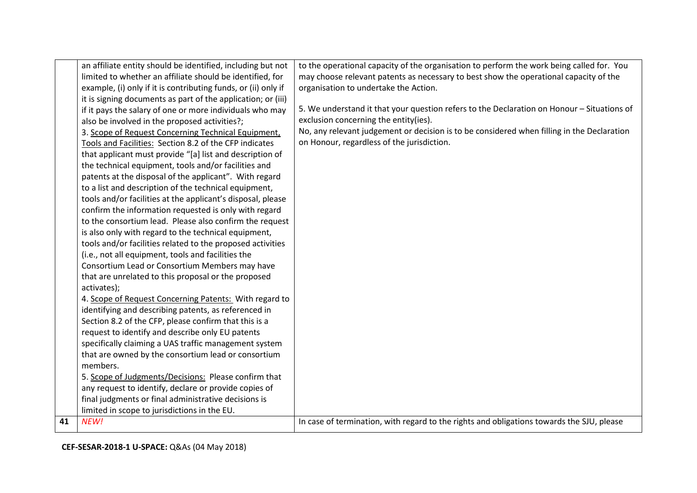|    | an affiliate entity should be identified, including but not    | to the operational capacity of the organisation to perform the work being called for. You  |
|----|----------------------------------------------------------------|--------------------------------------------------------------------------------------------|
|    | limited to whether an affiliate should be identified, for      | may choose relevant patents as necessary to best show the operational capacity of the      |
|    | example, (i) only if it is contributing funds, or (ii) only if | organisation to undertake the Action.                                                      |
|    | it is signing documents as part of the application; or (iii)   |                                                                                            |
|    | if it pays the salary of one or more individuals who may       | 5. We understand it that your question refers to the Declaration on Honour - Situations of |
|    | also be involved in the proposed activities?;                  | exclusion concerning the entity(ies).                                                      |
|    | 3. Scope of Request Concerning Technical Equipment,            | No, any relevant judgement or decision is to be considered when filling in the Declaration |
|    | Tools and Facilities: Section 8.2 of the CFP indicates         | on Honour, regardless of the jurisdiction.                                                 |
|    | that applicant must provide "[a] list and description of       |                                                                                            |
|    | the technical equipment, tools and/or facilities and           |                                                                                            |
|    | patents at the disposal of the applicant". With regard         |                                                                                            |
|    | to a list and description of the technical equipment,          |                                                                                            |
|    | tools and/or facilities at the applicant's disposal, please    |                                                                                            |
|    | confirm the information requested is only with regard          |                                                                                            |
|    | to the consortium lead. Please also confirm the request        |                                                                                            |
|    | is also only with regard to the technical equipment,           |                                                                                            |
|    | tools and/or facilities related to the proposed activities     |                                                                                            |
|    | (i.e., not all equipment, tools and facilities the             |                                                                                            |
|    | Consortium Lead or Consortium Members may have                 |                                                                                            |
|    | that are unrelated to this proposal or the proposed            |                                                                                            |
|    | activates);                                                    |                                                                                            |
|    | 4. Scope of Request Concerning Patents: With regard to         |                                                                                            |
|    | identifying and describing patents, as referenced in           |                                                                                            |
|    | Section 8.2 of the CFP, please confirm that this is a          |                                                                                            |
|    | request to identify and describe only EU patents               |                                                                                            |
|    | specifically claiming a UAS traffic management system          |                                                                                            |
|    | that are owned by the consortium lead or consortium            |                                                                                            |
|    | members.                                                       |                                                                                            |
|    | 5. Scope of Judgments/Decisions: Please confirm that           |                                                                                            |
|    | any request to identify, declare or provide copies of          |                                                                                            |
|    | final judgments or final administrative decisions is           |                                                                                            |
|    | limited in scope to jurisdictions in the EU.                   |                                                                                            |
| 41 | NEW!                                                           | In case of termination, with regard to the rights and obligations towards the SJU, please  |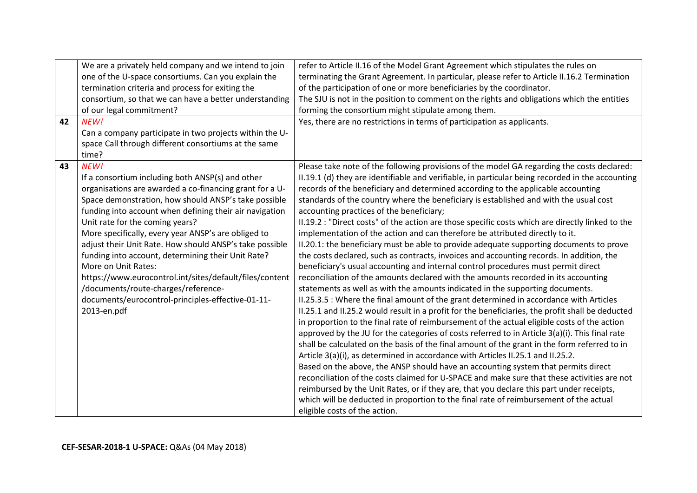|    | We are a privately held company and we intend to join   | refer to Article II.16 of the Model Grant Agreement which stipulates the rules on                |
|----|---------------------------------------------------------|--------------------------------------------------------------------------------------------------|
|    | one of the U-space consortiums. Can you explain the     | terminating the Grant Agreement. In particular, please refer to Article II.16.2 Termination      |
|    | termination criteria and process for exiting the        | of the participation of one or more beneficiaries by the coordinator.                            |
|    | consortium, so that we can have a better understanding  | The SJU is not in the position to comment on the rights and obligations which the entities       |
|    | of our legal commitment?                                | forming the consortium might stipulate among them.                                               |
| 42 | NEW!                                                    | Yes, there are no restrictions in terms of participation as applicants.                          |
|    | Can a company participate in two projects within the U- |                                                                                                  |
|    | space Call through different consortiums at the same    |                                                                                                  |
|    | time?                                                   |                                                                                                  |
| 43 | NEW!                                                    | Please take note of the following provisions of the model GA regarding the costs declared:       |
|    | If a consortium including both ANSP(s) and other        | II.19.1 (d) they are identifiable and verifiable, in particular being recorded in the accounting |
|    | organisations are awarded a co-financing grant for a U- | records of the beneficiary and determined according to the applicable accounting                 |
|    | Space demonstration, how should ANSP's take possible    | standards of the country where the beneficiary is established and with the usual cost            |
|    | funding into account when defining their air navigation | accounting practices of the beneficiary;                                                         |
|    | Unit rate for the coming years?                         | II.19.2 : "Direct costs" of the action are those specific costs which are directly linked to the |
|    | More specifically, every year ANSP's are obliged to     | implementation of the action and can therefore be attributed directly to it.                     |
|    | adjust their Unit Rate. How should ANSP's take possible | II.20.1: the beneficiary must be able to provide adequate supporting documents to prove          |
|    | funding into account, determining their Unit Rate?      | the costs declared, such as contracts, invoices and accounting records. In addition, the         |
|    | More on Unit Rates:                                     | beneficiary's usual accounting and internal control procedures must permit direct                |
|    | https://www.eurocontrol.int/sites/default/files/content | reconciliation of the amounts declared with the amounts recorded in its accounting               |
|    | /documents/route-charges/reference-                     | statements as well as with the amounts indicated in the supporting documents.                    |
|    | documents/eurocontrol-principles-effective-01-11-       | II.25.3.5 : Where the final amount of the grant determined in accordance with Articles           |
|    | 2013-en.pdf                                             | II.25.1 and II.25.2 would result in a profit for the beneficiaries, the profit shall be deducted |
|    |                                                         | in proportion to the final rate of reimbursement of the actual eligible costs of the action      |
|    |                                                         | approved by the JU for the categories of costs referred to in Article 3(a)(i). This final rate   |
|    |                                                         | shall be calculated on the basis of the final amount of the grant in the form referred to in     |
|    |                                                         | Article 3(a)(i), as determined in accordance with Articles II.25.1 and II.25.2.                  |
|    |                                                         | Based on the above, the ANSP should have an accounting system that permits direct                |
|    |                                                         | reconciliation of the costs claimed for U-SPACE and make sure that these activities are not      |
|    |                                                         | reimbursed by the Unit Rates, or if they are, that you declare this part under receipts,         |
|    |                                                         | which will be deducted in proportion to the final rate of reimbursement of the actual            |
|    |                                                         | eligible costs of the action.                                                                    |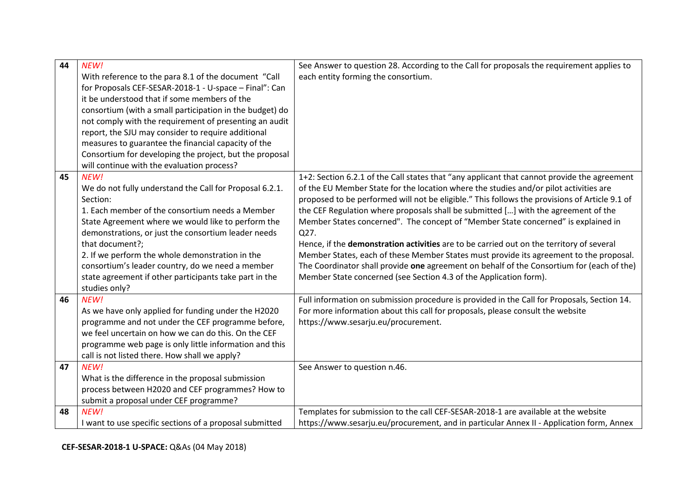| 44 | NEW!                                                     | See Answer to question 28. According to the Call for proposals the requirement applies to     |
|----|----------------------------------------------------------|-----------------------------------------------------------------------------------------------|
|    | With reference to the para 8.1 of the document "Call     | each entity forming the consortium.                                                           |
|    | for Proposals CEF-SESAR-2018-1 - U-space - Final": Can   |                                                                                               |
|    | it be understood that if some members of the             |                                                                                               |
|    | consortium (with a small participation in the budget) do |                                                                                               |
|    | not comply with the requirement of presenting an audit   |                                                                                               |
|    | report, the SJU may consider to require additional       |                                                                                               |
|    | measures to guarantee the financial capacity of the      |                                                                                               |
|    | Consortium for developing the project, but the proposal  |                                                                                               |
|    | will continue with the evaluation process?               |                                                                                               |
| 45 | NEW!                                                     | 1+2: Section 6.2.1 of the Call states that "any applicant that cannot provide the agreement   |
|    | We do not fully understand the Call for Proposal 6.2.1.  | of the EU Member State for the location where the studies and/or pilot activities are         |
|    | Section:                                                 | proposed to be performed will not be eligible." This follows the provisions of Article 9.1 of |
|    | 1. Each member of the consortium needs a Member          | the CEF Regulation where proposals shall be submitted [] with the agreement of the            |
|    | State Agreement where we would like to perform the       | Member States concerned". The concept of "Member State concerned" is explained in             |
|    | demonstrations, or just the consortium leader needs      | Q27.                                                                                          |
|    | that document?;                                          | Hence, if the demonstration activities are to be carried out on the territory of several      |
|    | 2. If we perform the whole demonstration in the          | Member States, each of these Member States must provide its agreement to the proposal.        |
|    | consortium's leader country, do we need a member         | The Coordinator shall provide one agreement on behalf of the Consortium for (each of the)     |
|    | state agreement if other participants take part in the   | Member State concerned (see Section 4.3 of the Application form).                             |
|    | studies only?                                            |                                                                                               |
| 46 | NEW!                                                     | Full information on submission procedure is provided in the Call for Proposals, Section 14.   |
|    | As we have only applied for funding under the H2020      | For more information about this call for proposals, please consult the website                |
|    | programme and not under the CEF programme before,        | https://www.sesarju.eu/procurement.                                                           |
|    | we feel uncertain on how we can do this. On the CEF      |                                                                                               |
|    | programme web page is only little information and this   |                                                                                               |
|    | call is not listed there. How shall we apply?            |                                                                                               |
| 47 | NEW!                                                     | See Answer to question n.46.                                                                  |
|    | What is the difference in the proposal submission        |                                                                                               |
|    | process between H2020 and CEF programmes? How to         |                                                                                               |
|    | submit a proposal under CEF programme?                   |                                                                                               |
| 48 | NEW!                                                     | Templates for submission to the call CEF-SESAR-2018-1 are available at the website            |
|    | I want to use specific sections of a proposal submitted  | https://www.sesarju.eu/procurement, and in particular Annex II - Application form, Annex      |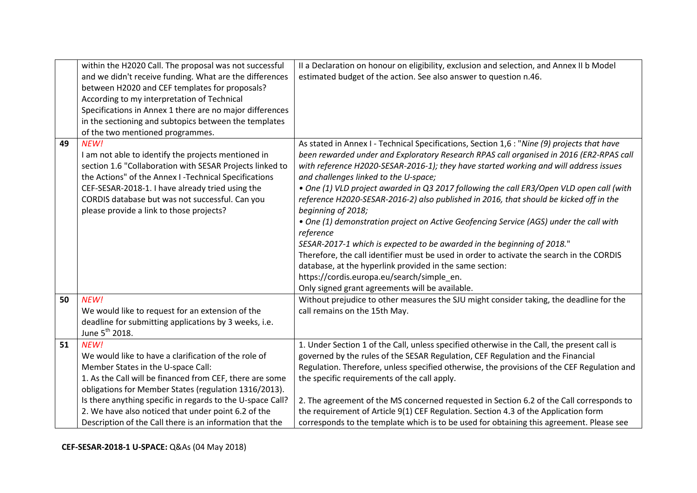|    | within the H2020 Call. The proposal was not successful     | II a Declaration on honour on eligibility, exclusion and selection, and Annex II b Model    |
|----|------------------------------------------------------------|---------------------------------------------------------------------------------------------|
|    | and we didn't receive funding. What are the differences    | estimated budget of the action. See also answer to question n.46.                           |
|    | between H2020 and CEF templates for proposals?             |                                                                                             |
|    | According to my interpretation of Technical                |                                                                                             |
|    | Specifications in Annex 1 there are no major differences   |                                                                                             |
|    | in the sectioning and subtopics between the templates      |                                                                                             |
|    | of the two mentioned programmes.                           |                                                                                             |
| 49 | NEW!                                                       | As stated in Annex I - Technical Specifications, Section 1,6 : "Nine (9) projects that have |
|    | I am not able to identify the projects mentioned in        | been rewarded under and Exploratory Research RPAS call organised in 2016 (ER2-RPAS call     |
|    | section 1.6 "Collaboration with SESAR Projects linked to   | with reference H2020-SESAR-2016-1); they have started working and will address issues       |
|    | the Actions" of the Annex I-Technical Specifications       | and challenges linked to the U-space;                                                       |
|    | CEF-SESAR-2018-1. I have already tried using the           | . One (1) VLD project awarded in Q3 2017 following the call ER3/Open VLD open call (with    |
|    | CORDIS database but was not successful. Can you            | reference H2020-SESAR-2016-2) also published in 2016, that should be kicked off in the      |
|    | please provide a link to those projects?                   | beginning of 2018;                                                                          |
|    |                                                            | • One (1) demonstration project on Active Geofencing Service (AGS) under the call with      |
|    |                                                            | reference                                                                                   |
|    |                                                            | SESAR-2017-1 which is expected to be awarded in the beginning of 2018."                     |
|    |                                                            | Therefore, the call identifier must be used in order to activate the search in the CORDIS   |
|    |                                                            | database, at the hyperlink provided in the same section:                                    |
|    |                                                            | https://cordis.europa.eu/search/simple_en.                                                  |
|    |                                                            | Only signed grant agreements will be available.                                             |
| 50 | NEW!                                                       | Without prejudice to other measures the SJU might consider taking, the deadline for the     |
|    | We would like to request for an extension of the           | call remains on the 15th May.                                                               |
|    | deadline for submitting applications by 3 weeks, i.e.      |                                                                                             |
|    | June 5 <sup>th</sup> 2018.                                 |                                                                                             |
| 51 | NEW!                                                       | 1. Under Section 1 of the Call, unless specified otherwise in the Call, the present call is |
|    | We would like to have a clarification of the role of       | governed by the rules of the SESAR Regulation, CEF Regulation and the Financial             |
|    | Member States in the U-space Call:                         | Regulation. Therefore, unless specified otherwise, the provisions of the CEF Regulation and |
|    | 1. As the Call will be financed from CEF, there are some   | the specific requirements of the call apply.                                                |
|    | obligations for Member States (regulation 1316/2013).      |                                                                                             |
|    | Is there anything specific in regards to the U-space Call? | 2. The agreement of the MS concerned requested in Section 6.2 of the Call corresponds to    |
|    | 2. We have also noticed that under point 6.2 of the        | the requirement of Article 9(1) CEF Regulation. Section 4.3 of the Application form         |
|    | Description of the Call there is an information that the   | corresponds to the template which is to be used for obtaining this agreement. Please see    |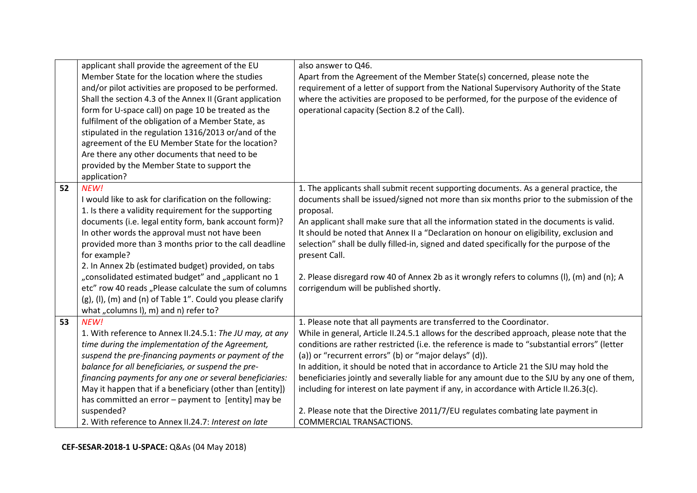|    | applicant shall provide the agreement of the EU                | also answer to Q46.                                                                          |
|----|----------------------------------------------------------------|----------------------------------------------------------------------------------------------|
|    | Member State for the location where the studies                | Apart from the Agreement of the Member State(s) concerned, please note the                   |
|    | and/or pilot activities are proposed to be performed.          | requirement of a letter of support from the National Supervisory Authority of the State      |
|    | Shall the section 4.3 of the Annex II (Grant application       | where the activities are proposed to be performed, for the purpose of the evidence of        |
|    | form for U-space call) on page 10 be treated as the            | operational capacity (Section 8.2 of the Call).                                              |
|    | fulfilment of the obligation of a Member State, as             |                                                                                              |
|    | stipulated in the regulation 1316/2013 or/and of the           |                                                                                              |
|    | agreement of the EU Member State for the location?             |                                                                                              |
|    | Are there any other documents that need to be                  |                                                                                              |
|    | provided by the Member State to support the                    |                                                                                              |
|    | application?                                                   |                                                                                              |
| 52 | NEW!                                                           | 1. The applicants shall submit recent supporting documents. As a general practice, the       |
|    | I would like to ask for clarification on the following:        | documents shall be issued/signed not more than six months prior to the submission of the     |
|    | 1. Is there a validity requirement for the supporting          | proposal.                                                                                    |
|    | documents (i.e. legal entity form, bank account form)?         | An applicant shall make sure that all the information stated in the documents is valid.      |
|    | In other words the approval must not have been                 | It should be noted that Annex II a "Declaration on honour on eligibility, exclusion and      |
|    | provided more than 3 months prior to the call deadline         | selection" shall be dully filled-in, signed and dated specifically for the purpose of the    |
|    | for example?                                                   | present Call.                                                                                |
|    | 2. In Annex 2b (estimated budget) provided, on tabs            |                                                                                              |
|    | "consolidated estimated budget" and "applicant no 1            | 2. Please disregard row 40 of Annex 2b as it wrongly refers to columns (I), (m) and (n); A   |
|    | etc" row 40 reads "Please calculate the sum of columns         | corrigendum will be published shortly.                                                       |
|    | $(g)$ , (I), (m) and (n) of Table 1". Could you please clarify |                                                                                              |
|    | what "columns I), m) and n) refer to?                          |                                                                                              |
| 53 | NEW!                                                           | 1. Please note that all payments are transferred to the Coordinator.                         |
|    | 1. With reference to Annex II.24.5.1: The JU may, at any       | While in general, Article II.24.5.1 allows for the described approach, please note that the  |
|    | time during the implementation of the Agreement,               | conditions are rather restricted (i.e. the reference is made to "substantial errors" (letter |
|    | suspend the pre-financing payments or payment of the           | (a)) or "recurrent errors" (b) or "major delays" (d)).                                       |
|    | balance for all beneficiaries, or suspend the pre-             | In addition, it should be noted that in accordance to Article 21 the SJU may hold the        |
|    | financing payments for any one or several beneficiaries:       | beneficiaries jointly and severally liable for any amount due to the SJU by any one of them, |
|    | May it happen that if a beneficiary (other than [entity])      | including for interest on late payment if any, in accordance with Article II.26.3(c).        |
|    | has committed an error - payment to [entity] may be            |                                                                                              |
|    | suspended?                                                     | 2. Please note that the Directive 2011/7/EU regulates combating late payment in              |
|    | 2. With reference to Annex II.24.7: Interest on late           | COMMERCIAL TRANSACTIONS.                                                                     |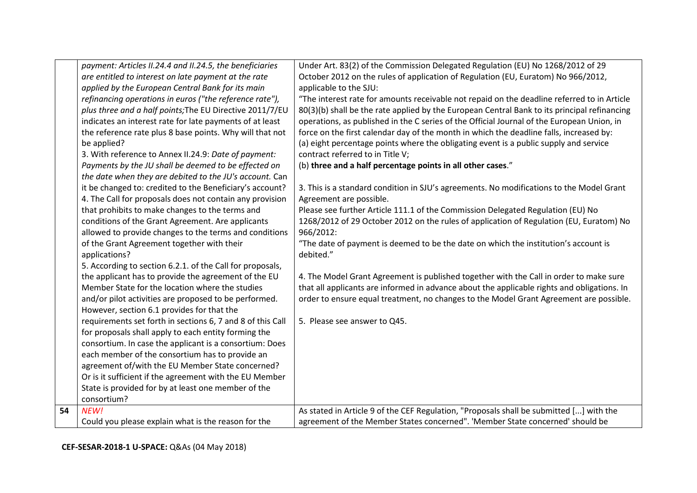|    | payment: Articles II.24.4 and II.24.5, the beneficiaries   | Under Art. 83(2) of the Commission Delegated Regulation (EU) No 1268/2012 of 29              |
|----|------------------------------------------------------------|----------------------------------------------------------------------------------------------|
|    | are entitled to interest on late payment at the rate       | October 2012 on the rules of application of Regulation (EU, Euratom) No 966/2012,            |
|    | applied by the European Central Bank for its main          | applicable to the SJU:                                                                       |
|    | refinancing operations in euros ("the reference rate"),    | "The interest rate for amounts receivable not repaid on the deadline referred to in Article  |
|    | plus three and a half points; The EU Directive 2011/7/EU   | 80(3)(b) shall be the rate applied by the European Central Bank to its principal refinancing |
|    | indicates an interest rate for late payments of at least   | operations, as published in the C series of the Official Journal of the European Union, in   |
|    | the reference rate plus 8 base points. Why will that not   | force on the first calendar day of the month in which the deadline falls, increased by:      |
|    | be applied?                                                | (a) eight percentage points where the obligating event is a public supply and service        |
|    | 3. With reference to Annex II.24.9: Date of payment:       | contract referred to in Title V;                                                             |
|    | Payments by the JU shall be deemed to be effected on       | (b) three and a half percentage points in all other cases."                                  |
|    | the date when they are debited to the JU's account. Can    |                                                                                              |
|    | it be changed to: credited to the Beneficiary's account?   | 3. This is a standard condition in SJU's agreements. No modifications to the Model Grant     |
|    | 4. The Call for proposals does not contain any provision   | Agreement are possible.                                                                      |
|    | that prohibits to make changes to the terms and            | Please see further Article 111.1 of the Commission Delegated Regulation (EU) No              |
|    | conditions of the Grant Agreement. Are applicants          | 1268/2012 of 29 October 2012 on the rules of application of Regulation (EU, Euratom) No      |
|    | allowed to provide changes to the terms and conditions     | 966/2012:                                                                                    |
|    | of the Grant Agreement together with their                 | "The date of payment is deemed to be the date on which the institution's account is          |
|    | applications?                                              | debited."                                                                                    |
|    | 5. According to section 6.2.1. of the Call for proposals,  |                                                                                              |
|    | the applicant has to provide the agreement of the EU       | 4. The Model Grant Agreement is published together with the Call in order to make sure       |
|    | Member State for the location where the studies            | that all applicants are informed in advance about the applicable rights and obligations. In  |
|    | and/or pilot activities are proposed to be performed.      | order to ensure equal treatment, no changes to the Model Grant Agreement are possible.       |
|    | However, section 6.1 provides for that the                 |                                                                                              |
|    | requirements set forth in sections 6, 7 and 8 of this Call | 5. Please see answer to Q45.                                                                 |
|    | for proposals shall apply to each entity forming the       |                                                                                              |
|    | consortium. In case the applicant is a consortium: Does    |                                                                                              |
|    | each member of the consortium has to provide an            |                                                                                              |
|    | agreement of/with the EU Member State concerned?           |                                                                                              |
|    | Or is it sufficient if the agreement with the EU Member    |                                                                                              |
|    | State is provided for by at least one member of the        |                                                                                              |
|    | consortium?                                                |                                                                                              |
| 54 | NEW!                                                       | As stated in Article 9 of the CEF Regulation, "Proposals shall be submitted [] with the      |
|    | Could you please explain what is the reason for the        | agreement of the Member States concerned". 'Member State concerned' should be                |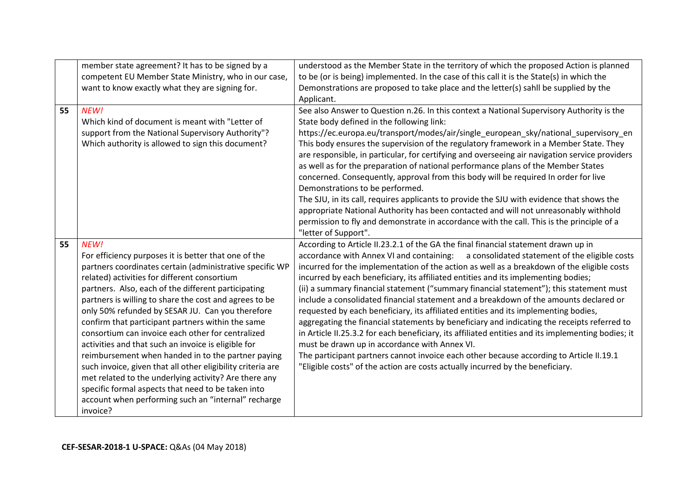|    | member state agreement? It has to be signed by a                | understood as the Member State in the territory of which the proposed Action is planned            |
|----|-----------------------------------------------------------------|----------------------------------------------------------------------------------------------------|
|    | competent EU Member State Ministry, who in our case,            | to be (or is being) implemented. In the case of this call it is the State(s) in which the          |
|    | want to know exactly what they are signing for.                 | Demonstrations are proposed to take place and the letter(s) sahll be supplied by the               |
|    |                                                                 | Applicant.                                                                                         |
| 55 | NEW!                                                            | See also Answer to Question n.26. In this context a National Supervisory Authority is the          |
|    | Which kind of document is meant with "Letter of                 | State body defined in the following link:                                                          |
|    | support from the National Supervisory Authority"?               | https://ec.europa.eu/transport/modes/air/single_european_sky/national_supervisory_en               |
|    | Which authority is allowed to sign this document?               | This body ensures the supervision of the regulatory framework in a Member State. They              |
|    |                                                                 | are responsible, in particular, for certifying and overseeing air navigation service providers     |
|    |                                                                 | as well as for the preparation of national performance plans of the Member States                  |
|    |                                                                 | concerned. Consequently, approval from this body will be required In order for live                |
|    |                                                                 | Demonstrations to be performed.                                                                    |
|    |                                                                 | The SJU, in its call, requires applicants to provide the SJU with evidence that shows the          |
|    |                                                                 | appropriate National Authority has been contacted and will not unreasonably withhold               |
|    |                                                                 | permission to fly and demonstrate in accordance with the call. This is the principle of a          |
|    |                                                                 | "letter of Support".                                                                               |
|    |                                                                 |                                                                                                    |
| 55 | NEW!                                                            | According to Article II.23.2.1 of the GA the final financial statement drawn up in                 |
|    | For efficiency purposes it is better that one of the            | accordance with Annex VI and containing: a consolidated statement of the eligible costs            |
|    | partners coordinates certain (administrative specific WP        | incurred for the implementation of the action as well as a breakdown of the eligible costs         |
|    | related) activities for different consortium                    | incurred by each beneficiary, its affiliated entities and its implementing bodies;                 |
|    | partners. Also, each of the different participating             | (ii) a summary financial statement ("summary financial statement"); this statement must            |
|    | partners is willing to share the cost and agrees to be          | include a consolidated financial statement and a breakdown of the amounts declared or              |
|    | only 50% refunded by SESAR JU. Can you therefore                | requested by each beneficiary, its affiliated entities and its implementing bodies,                |
|    | confirm that participant partners within the same               | aggregating the financial statements by beneficiary and indicating the receipts referred to        |
|    | consortium can invoice each other for centralized               | in Article II.25.3.2 for each beneficiary, its affiliated entities and its implementing bodies; it |
|    | activities and that such an invoice is eligible for             | must be drawn up in accordance with Annex VI.                                                      |
|    | reimbursement when handed in to the partner paying              | The participant partners cannot invoice each other because according to Article II.19.1            |
|    | such invoice, given that all other eligibility criteria are     | "Eligible costs" of the action are costs actually incurred by the beneficiary.                     |
|    | met related to the underlying activity? Are there any           |                                                                                                    |
|    | specific formal aspects that need to be taken into              |                                                                                                    |
|    | account when performing such an "internal" recharge<br>invoice? |                                                                                                    |